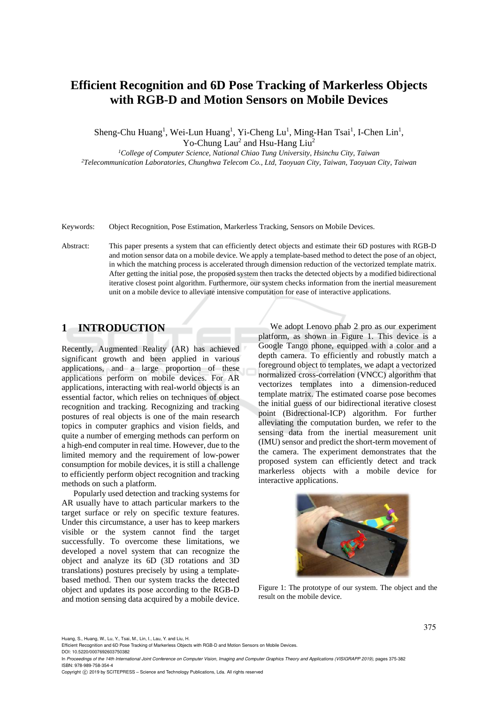# **Efficient Recognition and 6D Pose Tracking of Markerless Objects with RGB-D and Motion Sensors on Mobile Devices**

Sheng-Chu Huang<sup>1</sup>, Wei-Lun Huang<sup>1</sup>, Yi-Cheng Lu<sup>1</sup>, Ming-Han Tsai<sup>1</sup>, I-Chen Lin<sup>1</sup>, Yo-Chung Lau<sup>2</sup> and Hsu-Hang Liu<sup>2</sup>

*1College of Computer Science, National Chiao Tung University, Hsinchu City, Taiwan 2Telecommunication Laboratories, Chunghwa Telecom Co., Ltd, Taoyuan City, Taiwan, Taoyuan City, Taiwan* 

Keywords: Object Recognition, Pose Estimation, Markerless Tracking, Sensors on Mobile Devices.

Abstract: This paper presents a system that can efficiently detect objects and estimate their 6D postures with RGB-D and motion sensor data on a mobile device. We apply a template-based method to detect the pose of an object, in which the matching process is accelerated through dimension reduction of the vectorized template matrix. After getting the initial pose, the proposed system then tracks the detected objects by a modified bidirectional iterative closest point algorithm. Furthermore, our system checks information from the inertial measurement unit on a mobile device to alleviate intensive computation for ease of interactive applications.

# **1 INTRODUCTION**

Recently, Augmented Reality (AR) has achieved significant growth and been applied in various applications, and a large proportion of these applications perform on mobile devices. For AR applications, interacting with real-world objects is an essential factor, which relies on techniques of object recognition and tracking. Recognizing and tracking postures of real objects is one of the main research topics in computer graphics and vision fields, and quite a number of emerging methods can perform on a high-end computer in real time. However, due to the limited memory and the requirement of low-power consumption for mobile devices, it is still a challenge to efficiently perform object recognition and tracking methods on such a platform.

Popularly used detection and tracking systems for AR usually have to attach particular markers to the target surface or rely on specific texture features. Under this circumstance, a user has to keep markers visible or the system cannot find the target successfully. To overcome these limitations, we developed a novel system that can recognize the object and analyze its 6D (3D rotations and 3D translations) postures precisely by using a templatebased method. Then our system tracks the detected object and updates its pose according to the RGB-D and motion sensing data acquired by a mobile device.

We adopt Lenovo phab 2 pro as our experiment platform, as shown in Figure 1. This device is a Google Tango phone, equipped with a color and a depth camera. To efficiently and robustly match a foreground object to templates, we adapt a vectorized normalized cross-correlation (VNCC) algorithm that vectorizes templates into a dimension-reduced template matrix. The estimated coarse pose becomes the initial guess of our bidirectional iterative closest point (Bidrectional-ICP) algorithm. For further alleviating the computation burden, we refer to the sensing data from the inertial measurement unit (IMU) sensor and predict the short-term movement of the camera. The experiment demonstrates that the proposed system can efficiently detect and track markerless objects with a mobile device for interactive applications.



Figure 1: The prototype of our system. The object and the result on the mobile device.

Huang, S., Huang, W., Lu, Y., Tsai, M., Lin, I., Lau, Y. and Liu, H.

Efficient Recognition and 6D Pose Tracking of Markerless Objects with RGB-D and Motion Sensors on Mobile Devices. DOI: 10.5220/0007692603750382

In *Proceedings of the 14th International Joint Conference on Computer Vision, Imaging and Computer Graphics Theory and Applications (VISIGRAPP 2019)*, pages 375-382 ISBN: 978-989-758-354-4

Copyright © 2019 by SCITEPRESS - Science and Technology Publications, Lda. All rights reserved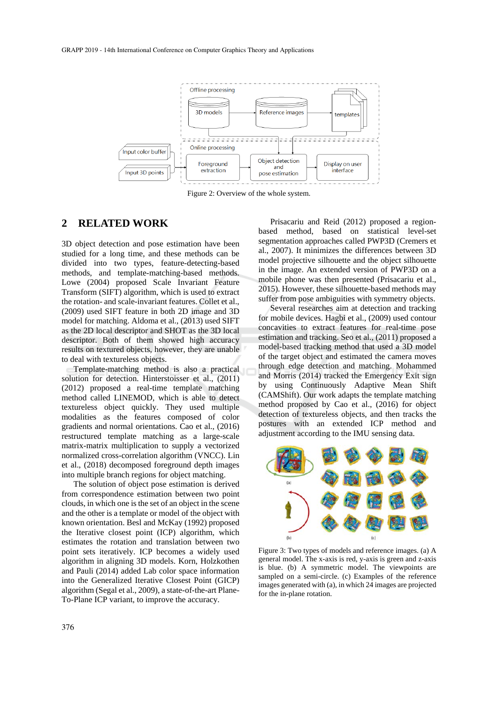

Figure 2: Overview of the whole system.

### **2 RELATED WORK**

3D object detection and pose estimation have been studied for a long time, and these methods can be divided into two types, feature-detecting-based methods, and template-matching-based methods. Lowe (2004) proposed Scale Invariant Feature Transform (SIFT) algorithm, which is used to extract the rotation- and scale-invariant features. Collet et al., (2009) used SIFT feature in both 2D image and 3D model for matching. Aldoma et al., (2013) used SIFT as the 2D local descriptor and SHOT as the 3D local descriptor. Both of them showed high accuracy results on textured objects, however, they are unable to deal with textureless objects.

Template-matching method is also a practical solution for detection. Hinterstoisser et al., (2011) (2012) proposed a real-time template matching method called LINEMOD, which is able to detect textureless object quickly. They used multiple modalities as the features composed of color gradients and normal orientations. Cao et al., (2016) restructured template matching as a large-scale matrix-matrix multiplication to supply a vectorized normalized cross-correlation algorithm (VNCC). Lin et al., (2018) decomposed foreground depth images into multiple branch regions for object matching.

The solution of object pose estimation is derived from correspondence estimation between two point clouds, in which one is the set of an object in the scene and the other is a template or model of the object with known orientation. Besl and McKay (1992) proposed the Iterative closest point (ICP) algorithm, which estimates the rotation and translation between two point sets iteratively. ICP becomes a widely used algorithm in aligning 3D models. Korn, Holzkothen and Pauli (2014) added Lab color space information into the Generalized Iterative Closest Point (GICP) algorithm (Segal et al., 2009), a state-of-the-art Plane-To-Plane ICP variant, to improve the accuracy.

Prisacariu and Reid (2012) proposed a regionbased method, based on statistical level-set segmentation approaches called PWP3D (Cremers et al., 2007). It minimizes the differences between 3D model projective silhouette and the object silhouette in the image. An extended version of PWP3D on a mobile phone was then presented (Prisacariu et al., 2015). However, these silhouette-based methods may suffer from pose ambiguities with symmetry objects.

Several researches aim at detection and tracking for mobile devices. Hagbi et al., (2009) used contour concavities to extract features for real-time pose estimation and tracking. Seo et al., (2011) proposed a model-based tracking method that used a 3D model of the target object and estimated the camera moves through edge detection and matching. Mohammed and Morris (2014) tracked the Emergency Exit sign by using Continuously Adaptive Mean Shift (CAMShift). Our work adapts the template matching method proposed by Cao et al., (2016) for object detection of textureless objects, and then tracks the postures with an extended ICP method and adjustment according to the IMU sensing data.



Figure 3: Two types of models and reference images. (a) A general model. The x-axis is red, y-axis is green and z-axis is blue. (b) A symmetric model. The viewpoints are sampled on a semi-circle. (c) Examples of the reference images generated with (a), in which 24 images are projected for the in-plane rotation.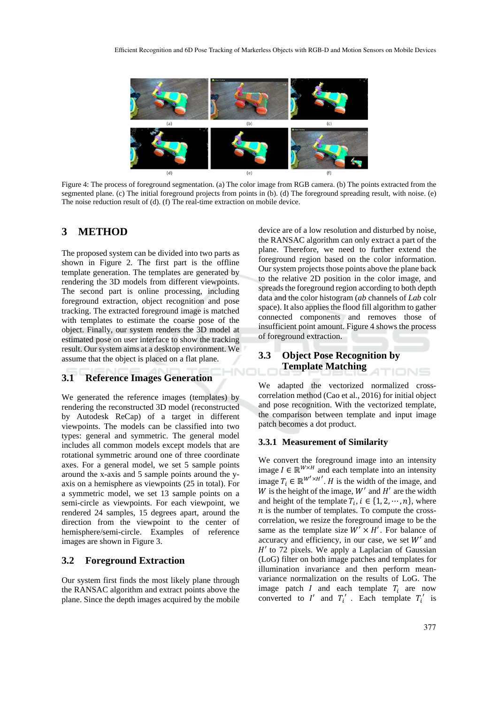

Figure 4: The process of foreground segmentation. (a) The color image from RGB camera. (b) The points extracted from the segmented plane. (c) The initial foreground projects from points in (b). (d) The foreground spreading result, with noise. (e) The noise reduction result of (d). (f) The real-time extraction on mobile device.

HNIC

## **3 METHOD**

The proposed system can be divided into two parts as shown in Figure 2. The first part is the offline template generation. The templates are generated by rendering the 3D models from different viewpoints. The second part is online processing, including foreground extraction, object recognition and pose tracking. The extracted foreground image is matched with templates to estimate the coarse pose of the object. Finally, our system renders the 3D model at estimated pose on user interface to show the tracking result. Our system aims at a desktop environment. We assume that the object is placed on a flat plane.

### **3.1 Reference Images Generation**

We generated the reference images (templates) by rendering the reconstructed 3D model (reconstructed by Autodesk ReCap) of a target in different viewpoints. The models can be classified into two types: general and symmetric. The general model includes all common models except models that are rotational symmetric around one of three coordinate axes. For a general model, we set 5 sample points around the x-axis and 5 sample points around the yaxis on a hemisphere as viewpoints (25 in total). For a symmetric model, we set 13 sample points on a semi-circle as viewpoints. For each viewpoint, we rendered 24 samples, 15 degrees apart, around the direction from the viewpoint to the center of hemisphere/semi-circle. Examples of reference images are shown in Figure 3.

### **3.2 Foreground Extraction**

Our system first finds the most likely plane through the RANSAC algorithm and extract points above the plane. Since the depth images acquired by the mobile device are of a low resolution and disturbed by noise, the RANSAC algorithm can only extract a part of the plane. Therefore, we need to further extend the foreground region based on the color information. Our system projects those points above the plane back to the relative 2D position in the color image, and spreads the foreground region according to both depth data and the color histogram (*ab* channels of *Lab* colr space). It also applies the flood fill algorithm to gather connected components and removes those of insufficient point amount. Figure 4 shows the process of foreground extraction.

# **3.3 Object Pose Recognition by Template Matching**

We adapted the vectorized normalized crosscorrelation method (Cao et al., 2016) for initial object and pose recognition. With the vectorized template, the comparison between template and input image patch becomes a dot product.

#### **3.3.1 Measurement of Similarity**

We convert the foreground image into an intensity image  $I \in \mathbb{R}^{W \times H}$  and each template into an intensity image  $T_i \in \mathbb{R}^{W' \times H'}$ . *H* is the width of the image, and W is the height of the image,  $W'$  and  $H'$  are the width and height of the template  $T_i$ ,  $i \in \{1, 2, \dots, n\}$ , where  $n$  is the number of templates. To compute the crosscorrelation, we resize the foreground image to be the same as the template size  $W' \times H'$ . For balance of accuracy and efficiency, in our case, we set  $W'$  and  $H'$  to 72 pixels. We apply a Laplacian of Gaussian (LoG) filter on both image patches and templates for illumination invariance and then perform meanvariance normalization on the results of LoG. The image patch  $I$  and each template  $T_i$  are now converted to  $I'$  and  $T_i'$ . Each template  $T_i'$  is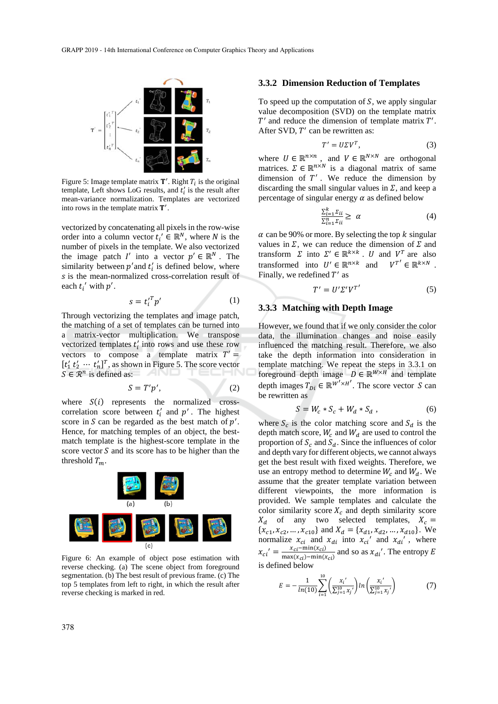

Figure 5: Image template matrix  $\mathbf{T}'$ . Right  $T_i$  is the original template, Left shows LoG results, and  $t_i$  is the result after mean-variance normalization. Templates are vectorized into rows in the template matrix  $T'$ .

vectorized by concatenating all pixels in the row-wise order into a column vector  $t_i' \in \mathbb{R}^N$ , where N is the number of pixels in the template. We also vectorized the image patch  $I'$  into a vector  $p' \in \mathbb{R}^N$ . The similarity between  $p'$  and  $t'_i$  is defined below, where s is the mean-normalized cross-correlation result of each  $t_i'$  with  $p'$ .

$$
s = t_i^{\prime T} p' \tag{1}
$$

Through vectorizing the templates and image patch, the matching of a set of templates can be turned into a matrix-vector multiplication. We transpose vectorized templates  $t_i$  into rows and use these row vectors to compose a template matrix  $T' =$  $[t'_1 t'_2 \cdots t'_n]^T$ , as shown in Figure 5. The score vector  $S \in \mathbb{R}^n$  is defined as:

$$
S = T'p',\tag{2}
$$

where  $S(i)$  represents the normalized crosscorrelation score between  $t_i'$  and  $p'$ . The highest score in S can be regarded as the best match of  $p'$ . Hence, for matching temples of an object, the bestmatch template is the highest-score template in the score vector  $S$  and its score has to be higher than the threshold  $T_m$ .



Figure 6: An example of object pose estimation with reverse checking. (a) The scene object from foreground segmentation. (b) The best result of previous frame. (c) The top 5 templates from left to right, in which the result after reverse checking is marked in red.

#### **3.3.2 Dimension Reduction of Templates**

To speed up the computation of  $S$ , we apply singular value decomposition (SVD) on the template matrix  $T'$  and reduce the dimension of template matrix  $T'$ . After SVD,  $T'$  can be rewritten as:

$$
T' = U\Sigma V^T,\t\t(3)
$$

where  $U \in \mathbb{R}^{n \times n}$ , and  $V \in \mathbb{R}^{N \times N}$  are orthogonal matrices.  $\Sigma \in \mathbb{R}^{n \times N}$  is a diagonal matrix of same dimension of  $T'$ . We reduce the dimension by discarding the small singular values in  $\Sigma$ , and keep a percentage of singular energy  $\alpha$  as defined below

$$
\frac{\sum_{i=1}^{k} \Sigma_{ii}}{\sum_{i=1}^{n} \Sigma_{ii}} \ge \alpha \tag{4}
$$

 $\alpha$  can be 90% or more. By selecting the top k singular values in  $\Sigma$ , we can reduce the dimension of  $\Sigma$  and transform  $\Sigma$  into  $\Sigma' \in \mathbb{R}^{k \times k}$ . U and  $V^T$  are also transformed into  $U' \in \mathbb{R}^{n \times k}$  and  $V^T' \in \mathbb{R}^{k \times N}$ . Finally, we redefined  $T'$  as

$$
T' = U' \Sigma' V^{T'} \tag{5}
$$

#### **3.3.3 Matching with Depth Image**

However, we found that if we only consider the color data, the illumination changes and noise easily influenced the matching result. Therefore, we also take the depth information into consideration in template matching. We repeat the steps in 3.3.1 on foreground depth image  $D \in \mathbb{R}^{W \times H}$  and template depth images  $T_{Di} \in \mathbb{R}^{W' \times H'}$ . The score vector *S* can be rewritten as

$$
S = W_c * S_c + W_d * S_d , \qquad (6)
$$

where  $S_c$  is the color matching score and  $S_d$  is the depth match score,  $W_c$  and  $W_d$  are used to control the proportion of  $S_c$  and  $S_d$ . Since the influences of color and depth vary for different objects, we cannot always get the best result with fixed weights. Therefore, we use an entropy method to determine  $W_c$  and  $W_d$ . We assume that the greater template variation between different viewpoints, the more information is provided. We sample templates and calculate the color similarity score  $X_c$  and depth similarity score  $X_d$  of any two selected templates,  $X_c =$  ${x_{c1}, x_{c2}, ..., x_{c10}}$  and  $X_d = {x_{d1}, x_{d2}, ..., x_{d10}}$ . We normalize  $x_{ci}$  and  $x_{di}$  into  $x_{ci}$  and  $x_{di}$ , where  $x_{ci'} = \frac{x_{ci} - \min(x_{ci})}{\max(x_{ci}) - \min(x_{ci})}$  and so as  $x_{di'}$ . The entropy E is defined below

$$
E = -\frac{1}{\ln(10)} \sum_{i=1}^{10} \left( \frac{x_i'}{\sum_{j=1}^{10} x_j'} \right) \ln \left( \frac{x_i'}{\sum_{j=1}^{10} x_j'} \right) \tag{7}
$$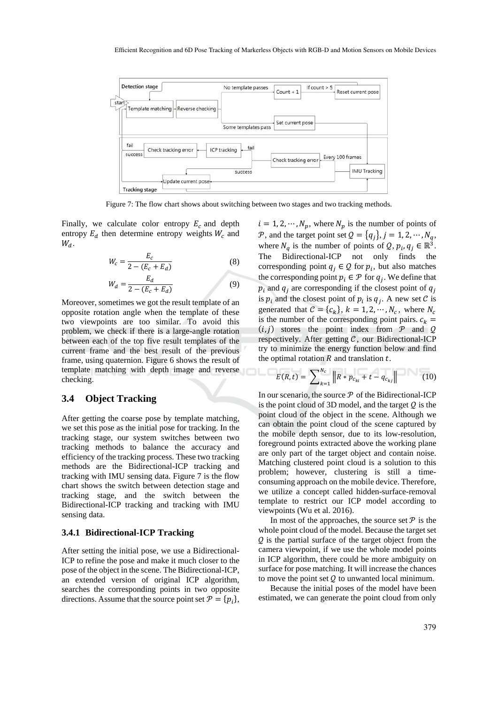

Figure 7: The flow chart shows about switching between two stages and two tracking methods.

Finally, we calculate color entropy  $E_c$  and depth entropy  $E_d$  then determine entropy weights  $W_c$  and  $W_d$ .

$$
W_c = \frac{E_c}{2 - (E_c + E_d)}
$$
 (8)

$$
W_d = \frac{E_d}{2 - (E_c + E_d)}
$$
(9)

Moreover, sometimes we got the result template of an opposite rotation angle when the template of these two viewpoints are too similar. To avoid this problem, we check if there is a large-angle rotation between each of the top five result templates of the current frame and the best result of the previous frame, using quaternion. Figure 6 shows the result of template matching with depth image and reverse checking.

### **3.4 Object Tracking**

After getting the coarse pose by template matching, we set this pose as the initial pose for tracking. In the tracking stage, our system switches between two tracking methods to balance the accuracy and efficiency of the tracking process. These two tracking methods are the Bidirectional-ICP tracking and tracking with IMU sensing data. Figure 7 is the flow chart shows the switch between detection stage and tracking stage, and the switch between the Bidirectional-ICP tracking and tracking with IMU sensing data.

#### **3.4.1 Bidirectional-ICP Tracking**

After setting the initial pose, we use a Bidirectional-ICP to refine the pose and make it much closer to the pose of the object in the scene. The Bidirectional-ICP, an extended version of original ICP algorithm, searches the corresponding points in two opposite directions. Assume that the source point set  $\mathcal{P} = \{p_i\},\$   $i = 1, 2, \dots, N_n$ , where  $N_n$  is the number of points of P, and the target point set  $Q = \{q_i\}, j = 1, 2, \cdots, N_q$ , where  $N_q$  is the number of points of  $Q, p_i, q_j \in \mathbb{R}^3$ . The Bidirectional-ICP not only finds the corresponding point  $q_j \in \mathcal{Q}$  for  $p_i$ , but also matches the corresponding point  $p_i \in \mathcal{P}$  for  $q_j$ . We define that  $p_i$  and  $q_i$  are corresponding if the closest point of  $q_i$ is  $p_i$  and the closest point of  $p_i$  is  $q_i$ . A new set C is generated that  $C = \{c_k\}, k = 1, 2, \dots, N_c$ , where  $N_c$ is the number of the corresponding point pairs.  $c_k$  =  $(i, j)$  stores the point index from  $\mathcal P$  and  $\mathcal Q$ respectively. After getting  $C$ , our Bidirectional-ICP try to minimize the energy function below and find the optimal rotation  *and translation*  $*t*$ *.* 

$$
E(R,t) = \sum_{k=1}^{N_c} ||R * p_{c_{ki}} + t - q_{c_{kj}}|| \qquad (10)
$$

In our scenario, the source  $P$  of the Bidirectional-ICP is the point cloud of 3D model, and the target  $Q$  is the point cloud of the object in the scene. Although we can obtain the point cloud of the scene captured by the mobile depth sensor, due to its low-resolution, foreground points extracted above the working plane are only part of the target object and contain noise. Matching clustered point cloud is a solution to this problem; however, clustering is still a timeconsuming approach on the mobile device. Therefore, we utilize a concept called hidden-surface-removal template to restrict our ICP model according to viewpoints (Wu et al. 2016).

In most of the approaches, the source set  $\mathcal P$  is the whole point cloud of the model. Because the target set ࣫ is the partial surface of the target object from the camera viewpoint, if we use the whole model points in ICP algorithm, there could be more ambiguity on surface for pose matching. It will increase the chances to move the point set  $Q$  to unwanted local minimum.

Because the initial poses of the model have been estimated, we can generate the point cloud from only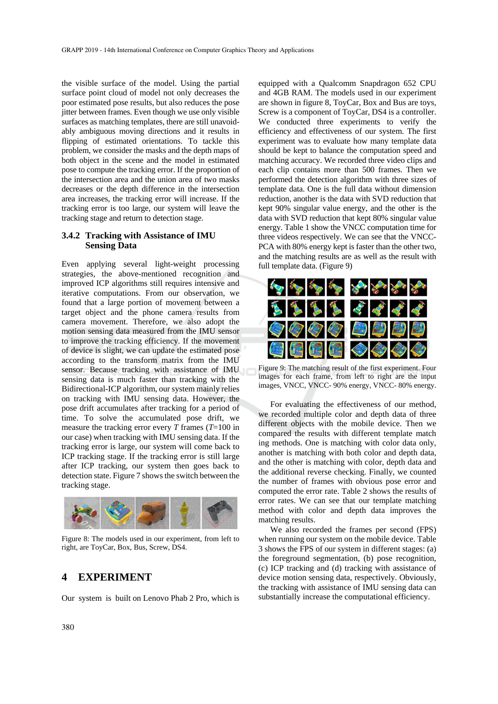the visible surface of the model. Using the partial surface point cloud of model not only decreases the poor estimated pose results, but also reduces the pose jitter between frames. Even though we use only visible surfaces as matching templates, there are still unavoidably ambiguous moving directions and it results in flipping of estimated orientations. To tackle this problem, we consider the masks and the depth maps of both object in the scene and the model in estimated pose to compute the tracking error. If the proportion of the intersection area and the union area of two masks decreases or the depth difference in the intersection area increases, the tracking error will increase. If the tracking error is too large, our system will leave the tracking stage and return to detection stage.

### **3.4.2 Tracking with Assistance of IMU Sensing Data**

Even applying several light-weight processing strategies, the above-mentioned recognition and improved ICP algorithms still requires intensive and iterative computations. From our observation, we found that a large portion of movement between a target object and the phone camera results from camera movement. Therefore, we also adopt the motion sensing data measured from the IMU sensor to improve the tracking efficiency. If the movement of device is slight, we can update the estimated pose according to the transform matrix from the IMU sensor. Because tracking with assistance of IMU sensing data is much faster than tracking with the Bidirectional-ICP algorithm, our system mainly relies on tracking with IMU sensing data. However, the pose drift accumulates after tracking for a period of time. To solve the accumulated pose drift, we measure the tracking error every *T* frames (*T*=100 in our case) when tracking with IMU sensing data. If the tracking error is large, our system will come back to ICP tracking stage. If the tracking error is still large after ICP tracking, our system then goes back to detection state. Figure 7 shows the switch between the tracking stage.



Figure 8: The models used in our experiment, from left to right, are ToyCar, Box, Bus, Screw, DS4.

## **4 EXPERIMENT**

Our system is built on Lenovo Phab 2 Pro, which is

equipped with a Qualcomm Snapdragon 652 CPU and 4GB RAM. The models used in our experiment are shown in figure 8, ToyCar, Box and Bus are toys, Screw is a component of ToyCar, DS4 is a controller. We conducted three experiments to verify the efficiency and effectiveness of our system. The first experiment was to evaluate how many template data should be kept to balance the computation speed and matching accuracy. We recorded three video clips and each clip contains more than 500 frames. Then we performed the detection algorithm with three sizes of template data. One is the full data without dimension reduction, another is the data with SVD reduction that kept 90% singular value energy, and the other is the data with SVD reduction that kept 80% singular value energy. Table 1 show the VNCC computation time for three videos respectively. We can see that the VNCC-PCA with 80% energy kept is faster than the other two, and the matching results are as well as the result with full template data. (Figure 9)



Figure 9: The matching result of the first experiment. Four images for each frame, from left to right are the input images, VNCC, VNCC- 90% energy, VNCC- 80% energy.

For evaluating the effectiveness of our method, we recorded multiple color and depth data of three different objects with the mobile device. Then we compared the results with different template match ing methods. One is matching with color data only, another is matching with both color and depth data, and the other is matching with color, depth data and the additional reverse checking. Finally, we counted the number of frames with obvious pose error and computed the error rate. Table 2 shows the results of error rates. We can see that our template matching method with color and depth data improves the matching results.

We also recorded the frames per second (FPS) when running our system on the mobile device. Table 3 shows the FPS of our system in different stages: (a) the foreground segmentation, (b) pose recognition, (c) ICP tracking and (d) tracking with assistance of device motion sensing data, respectively. Obviously, the tracking with assistance of IMU sensing data can substantially increase the computational efficiency.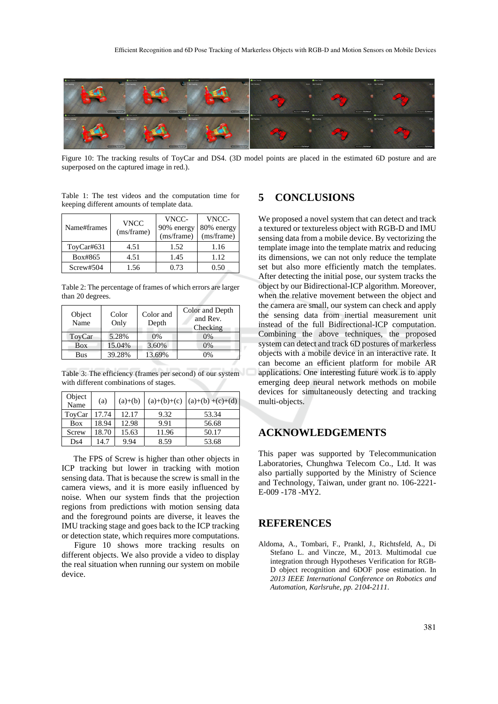

Figure 10: The tracking results of ToyCar and DS4. (3D model points are placed in the estimated 6D posture and are superposed on the captured image in red.).

Table 1: The test videos and the computation time for keeping different amounts of template data.

| Name#frames | <b>VNCC</b><br>(ms/frame) | VNCC-<br>90% energy<br>(ms/frame) | VNCC-<br>80% energy<br>(ms/frame) |
|-------------|---------------------------|-----------------------------------|-----------------------------------|
| ToyCar#631  | 4.51                      | 1.52                              | 1.16                              |
| Box#865     | 4.51                      | 1.45                              | 1.12                              |
| Screw#504   | 1.56                      | 0.73                              | 0.50                              |

Table 2: The percentage of frames of which errors are larger than 20 degrees.

| Object<br>Name | Color<br>Only | Color and<br>Depth | Color and Depth<br>and Rev.<br>Checking |
|----------------|---------------|--------------------|-----------------------------------------|
| ToyCar         | 5.28%         | $0\%$              | 0%                                      |
| Box            | 15.04%        | 3.60%              | 0%                                      |
| Bus            | 39.28%        | 13.69%             | 0%                                      |

Table 3: The efficiency (frames per second) of our system with different combinations of stages.

| Object<br>Name | (a)   | $(a)+(b)$ |       | $(a)+(b)+(c) (a)+(b)+(c)+(d)$ |
|----------------|-------|-----------|-------|-------------------------------|
| ToyCar         | 17.74 | 12.17     | 9.32  | 53.34                         |
| <b>Box</b>     | 18.94 | 12.98     | 9.91  | 56.68                         |
| Screw          | 18.70 | 15.63     | 11.96 | 50.17                         |
| Ds4            | 14.7  | 9.94      | 8.59  | 53.68                         |

The FPS of Screw is higher than other objects in ICP tracking but lower in tracking with motion sensing data. That is because the screw is small in the camera views, and it is more easily influenced by noise. When our system finds that the projection regions from predictions with motion sensing data and the foreground points are diverse, it leaves the IMU tracking stage and goes back to the ICP tracking or detection state, which requires more computations.

Figure 10 shows more tracking results on different objects. We also provide a video to display the real situation when running our system on mobile device.

# **5 CONCLUSIONS**

We proposed a novel system that can detect and track a textured or textureless object with RGB-D and IMU sensing data from a mobile device. By vectorizing the template image into the template matrix and reducing its dimensions, we can not only reduce the template set but also more efficiently match the templates. After detecting the initial pose, our system tracks the object by our Bidirectional-ICP algorithm. Moreover, when the relative movement between the object and the camera are small, our system can check and apply the sensing data from inertial measurement unit instead of the full Bidirectional-ICP computation. Combining the above techniques, the proposed system can detect and track 6D postures of markerless objects with a mobile device in an interactive rate. It can become an efficient platform for mobile AR applications. One interesting future work is to apply emerging deep neural network methods on mobile devices for simultaneously detecting and tracking multi-objects.

### **ACKNOWLEDGEMENTS**

This paper was supported by Telecommunication Laboratories, Chunghwa Telecom Co., Ltd. It was also partially supported by the Ministry of Science and Technology, Taiwan, under grant no. 106-2221- E-009 -178 -MY2.

### **REFERENCES**

Aldoma, A., Tombari, F., Prankl, J., Richtsfeld, A., Di Stefano L. and Vincze, M., 2013. Multimodal cue integration through Hypotheses Verification for RGB-D object recognition and 6DOF pose estimation. In *2013 IEEE International Conference on Robotics and Automation, Karlsruhe, pp. 2104-2111*.